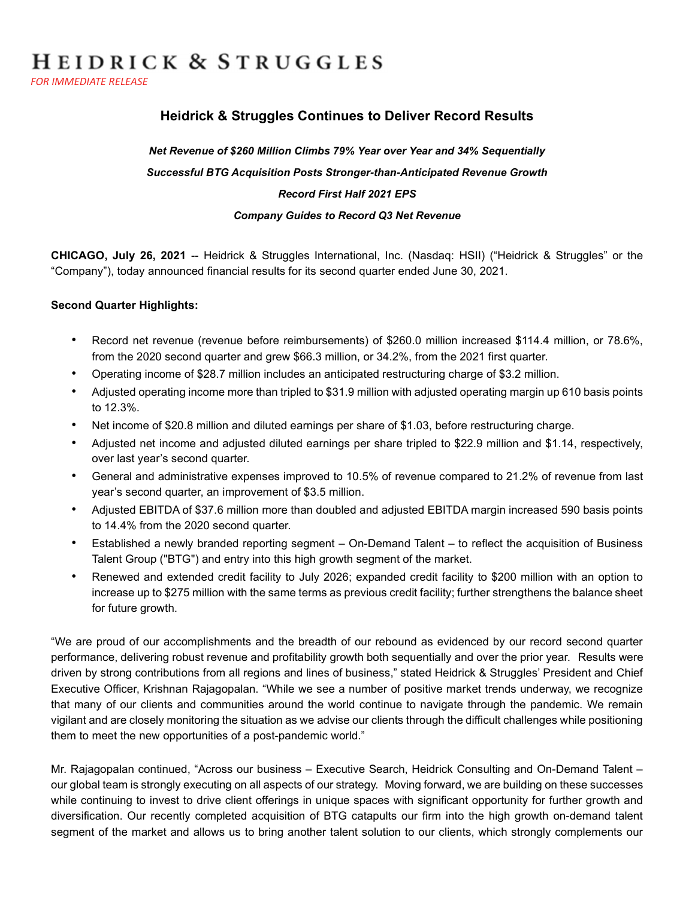# HEIDRICK & STRUGGLES

FOR IMMEDIATE RELEASE

# Heidrick & Struggles Continues to Deliver Record Results

# Net Revenue of \$260 Million Climbs 79% Year over Year and 34% Sequentially Successful BTG Acquisition Posts Stronger-than-Anticipated Revenue Growth Record First Half 2021 EPS Company Guides to Record Q3 Net Revenue

CHICAGO, July 26, 2021 -- Heidrick & Struggles International, Inc. (Nasdaq: HSII) ("Heidrick & Struggles" or the "Company"), today announced financial results for its second quarter ended June 30, 2021.

### Second Quarter Highlights:

- Record net revenue (revenue before reimbursements) of \$260.0 million increased \$114.4 million, or 78.6%, from the 2020 second quarter and grew \$66.3 million, or 34.2%, from the 2021 first quarter.
- Operating income of \$28.7 million includes an anticipated restructuring charge of \$3.2 million.
- Adjusted operating income more than tripled to \$31.9 million with adjusted operating margin up 610 basis points to 12.3%.
- Net income of \$20.8 million and diluted earnings per share of \$1.03, before restructuring charge.
- Adjusted net income and adjusted diluted earnings per share tripled to \$22.9 million and \$1.14, respectively, over last year's second quarter.
- General and administrative expenses improved to 10.5% of revenue compared to 21.2% of revenue from last year's second quarter, an improvement of \$3.5 million.
- Adjusted EBITDA of \$37.6 million more than doubled and adjusted EBITDA margin increased 590 basis points to 14.4% from the 2020 second quarter.
- Established a newly branded reporting segment On-Demand Talent to reflect the acquisition of Business Talent Group ("BTG") and entry into this high growth segment of the market.
- Renewed and extended credit facility to July 2026; expanded credit facility to \$200 million with an option to increase up to \$275 million with the same terms as previous credit facility; further strengthens the balance sheet for future growth.

"We are proud of our accomplishments and the breadth of our rebound as evidenced by our record second quarter performance, delivering robust revenue and profitability growth both sequentially and over the prior year. Results were driven by strong contributions from all regions and lines of business," stated Heidrick & Struggles' President and Chief Executive Officer, Krishnan Rajagopalan. "While we see a number of positive market trends underway, we recognize that many of our clients and communities around the world continue to navigate through the pandemic. We remain vigilant and are closely monitoring the situation as we advise our clients through the difficult challenges while positioning them to meet the new opportunities of a post-pandemic world."

Mr. Rajagopalan continued, "Across our business – Executive Search, Heidrick Consulting and On-Demand Talent – our global team is strongly executing on all aspects of our strategy. Moving forward, we are building on these successes while continuing to invest to drive client offerings in unique spaces with significant opportunity for further growth and diversification. Our recently completed acquisition of BTG catapults our firm into the high growth on-demand talent segment of the market and allows us to bring another talent solution to our clients, which strongly complements our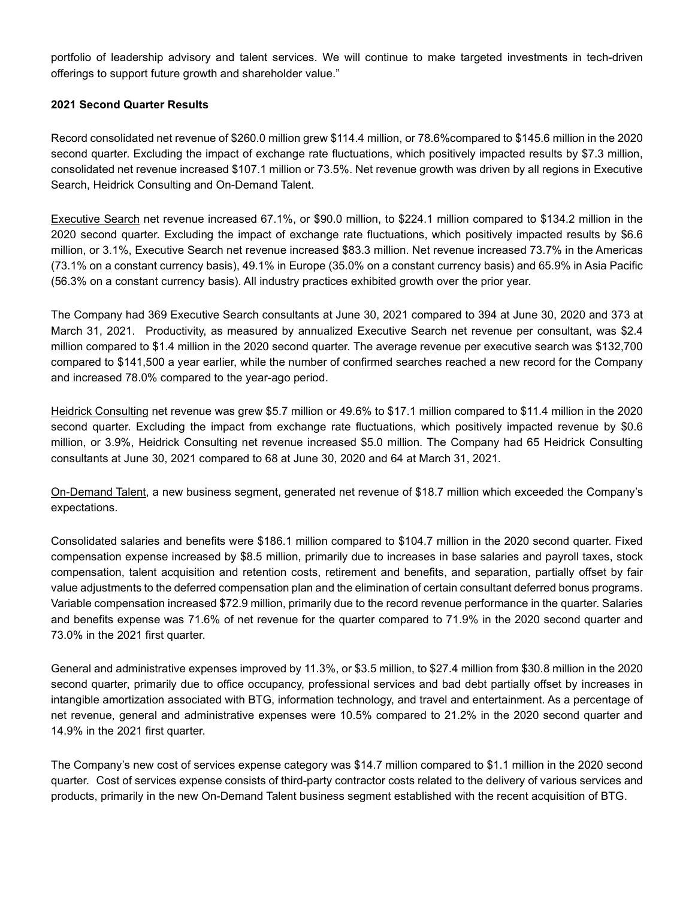portfolio of leadership advisory and talent services. We will continue to make targeted investments in tech-driven offerings to support future growth and shareholder value."

### 2021 Second Quarter Results

Record consolidated net revenue of \$260.0 million grew \$114.4 million, or 78.6%compared to \$145.6 million in the 2020 second quarter. Excluding the impact of exchange rate fluctuations, which positively impacted results by \$7.3 million, consolidated net revenue increased \$107.1 million or 73.5%. Net revenue growth was driven by all regions in Executive Search, Heidrick Consulting and On-Demand Talent.

Executive Search net revenue increased 67.1%, or \$90.0 million, to \$224.1 million compared to \$134.2 million in the 2020 second quarter. Excluding the impact of exchange rate fluctuations, which positively impacted results by \$6.6 million, or 3.1%, Executive Search net revenue increased \$83.3 million. Net revenue increased 73.7% in the Americas (73.1% on a constant currency basis), 49.1% in Europe (35.0% on a constant currency basis) and 65.9% in Asia Pacific (56.3% on a constant currency basis). All industry practices exhibited growth over the prior year.

The Company had 369 Executive Search consultants at June 30, 2021 compared to 394 at June 30, 2020 and 373 at March 31, 2021. Productivity, as measured by annualized Executive Search net revenue per consultant, was \$2.4 million compared to \$1.4 million in the 2020 second quarter. The average revenue per executive search was \$132,700 compared to \$141,500 a year earlier, while the number of confirmed searches reached a new record for the Company and increased 78.0% compared to the year-ago period.

Heidrick Consulting net revenue was grew \$5.7 million or 49.6% to \$17.1 million compared to \$11.4 million in the 2020 second quarter. Excluding the impact from exchange rate fluctuations, which positively impacted revenue by \$0.6 million, or 3.9%, Heidrick Consulting net revenue increased \$5.0 million. The Company had 65 Heidrick Consulting consultants at June 30, 2021 compared to 68 at June 30, 2020 and 64 at March 31, 2021.

On-Demand Talent, a new business segment, generated net revenue of \$18.7 million which exceeded the Company's expectations.

Consolidated salaries and benefits were \$186.1 million compared to \$104.7 million in the 2020 second quarter. Fixed compensation expense increased by \$8.5 million, primarily due to increases in base salaries and payroll taxes, stock compensation, talent acquisition and retention costs, retirement and benefits, and separation, partially offset by fair value adjustments to the deferred compensation plan and the elimination of certain consultant deferred bonus programs. Variable compensation increased \$72.9 million, primarily due to the record revenue performance in the quarter. Salaries and benefits expense was 71.6% of net revenue for the quarter compared to 71.9% in the 2020 second quarter and 73.0% in the 2021 first quarter.

General and administrative expenses improved by 11.3%, or \$3.5 million, to \$27.4 million from \$30.8 million in the 2020 second quarter, primarily due to office occupancy, professional services and bad debt partially offset by increases in intangible amortization associated with BTG, information technology, and travel and entertainment. As a percentage of net revenue, general and administrative expenses were 10.5% compared to 21.2% in the 2020 second quarter and 14.9% in the 2021 first quarter.

The Company's new cost of services expense category was \$14.7 million compared to \$1.1 million in the 2020 second quarter. Cost of services expense consists of third-party contractor costs related to the delivery of various services and products, primarily in the new On-Demand Talent business segment established with the recent acquisition of BTG.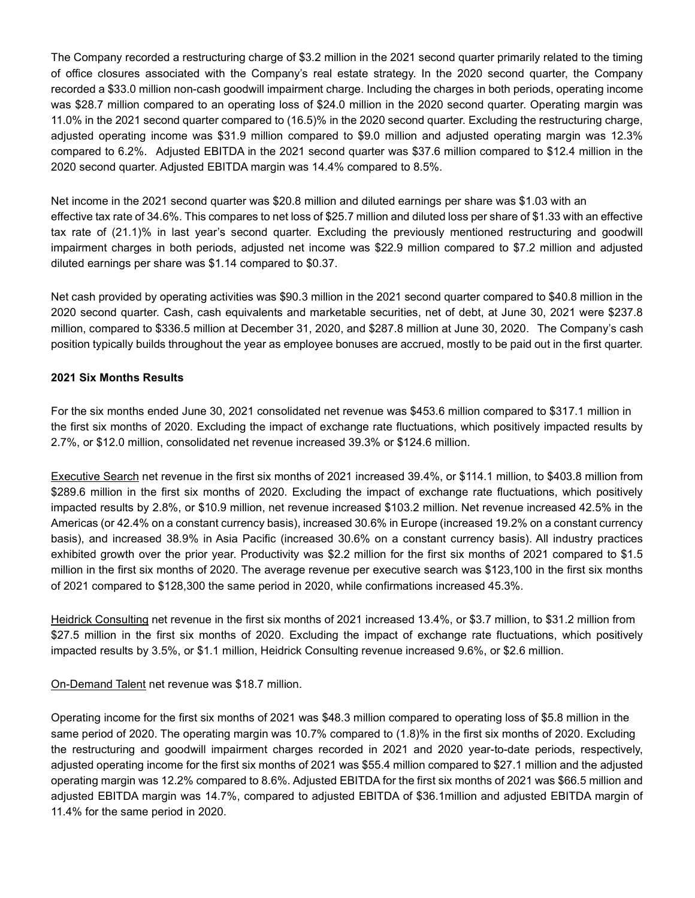The Company recorded a restructuring charge of \$3.2 million in the 2021 second quarter primarily related to the timing of office closures associated with the Company's real estate strategy. In the 2020 second quarter, the Company recorded a \$33.0 million non-cash goodwill impairment charge. Including the charges in both periods, operating income was \$28.7 million compared to an operating loss of \$24.0 million in the 2020 second quarter. Operating margin was 11.0% in the 2021 second quarter compared to (16.5)% in the 2020 second quarter. Excluding the restructuring charge, adjusted operating income was \$31.9 million compared to \$9.0 million and adjusted operating margin was 12.3% compared to 6.2%. Adjusted EBITDA in the 2021 second quarter was \$37.6 million compared to \$12.4 million in the 2020 second quarter. Adjusted EBITDA margin was 14.4% compared to 8.5%.

Net income in the 2021 second quarter was \$20.8 million and diluted earnings per share was \$1.03 with an effective tax rate of 34.6%. This compares to net loss of \$25.7 million and diluted loss per share of \$1.33 with an effective tax rate of (21.1)% in last year's second quarter. Excluding the previously mentioned restructuring and goodwill impairment charges in both periods, adjusted net income was \$22.9 million compared to \$7.2 million and adjusted diluted earnings per share was \$1.14 compared to \$0.37.

Net cash provided by operating activities was \$90.3 million in the 2021 second quarter compared to \$40.8 million in the 2020 second quarter. Cash, cash equivalents and marketable securities, net of debt, at June 30, 2021 were \$237.8 million, compared to \$336.5 million at December 31, 2020, and \$287.8 million at June 30, 2020. The Company's cash position typically builds throughout the year as employee bonuses are accrued, mostly to be paid out in the first quarter.

### 2021 Six Months Results

For the six months ended June 30, 2021 consolidated net revenue was \$453.6 million compared to \$317.1 million in the first six months of 2020. Excluding the impact of exchange rate fluctuations, which positively impacted results by 2.7%, or \$12.0 million, consolidated net revenue increased 39.3% or \$124.6 million.

Executive Search net revenue in the first six months of 2021 increased 39.4%, or \$114.1 million, to \$403.8 million from \$289.6 million in the first six months of 2020. Excluding the impact of exchange rate fluctuations, which positively impacted results by 2.8%, or \$10.9 million, net revenue increased \$103.2 million. Net revenue increased 42.5% in the Americas (or 42.4% on a constant currency basis), increased 30.6% in Europe (increased 19.2% on a constant currency basis), and increased 38.9% in Asia Pacific (increased 30.6% on a constant currency basis). All industry practices exhibited growth over the prior year. Productivity was \$2.2 million for the first six months of 2021 compared to \$1.5 million in the first six months of 2020. The average revenue per executive search was \$123,100 in the first six months of 2021 compared to \$128,300 the same period in 2020, while confirmations increased 45.3%.

Heidrick Consulting net revenue in the first six months of 2021 increased 13.4%, or \$3.7 million, to \$31.2 million from \$27.5 million in the first six months of 2020. Excluding the impact of exchange rate fluctuations, which positively impacted results by 3.5%, or \$1.1 million, Heidrick Consulting revenue increased 9.6%, or \$2.6 million.

#### On-Demand Talent net revenue was \$18.7 million.

Operating income for the first six months of 2021 was \$48.3 million compared to operating loss of \$5.8 million in the same period of 2020. The operating margin was 10.7% compared to (1.8)% in the first six months of 2020. Excluding the restructuring and goodwill impairment charges recorded in 2021 and 2020 year-to-date periods, respectively, adjusted operating income for the first six months of 2021 was \$55.4 million compared to \$27.1 million and the adjusted operating margin was 12.2% compared to 8.6%. Adjusted EBITDA for the first six months of 2021 was \$66.5 million and adjusted EBITDA margin was 14.7%, compared to adjusted EBITDA of \$36.1million and adjusted EBITDA margin of 11.4% for the same period in 2020.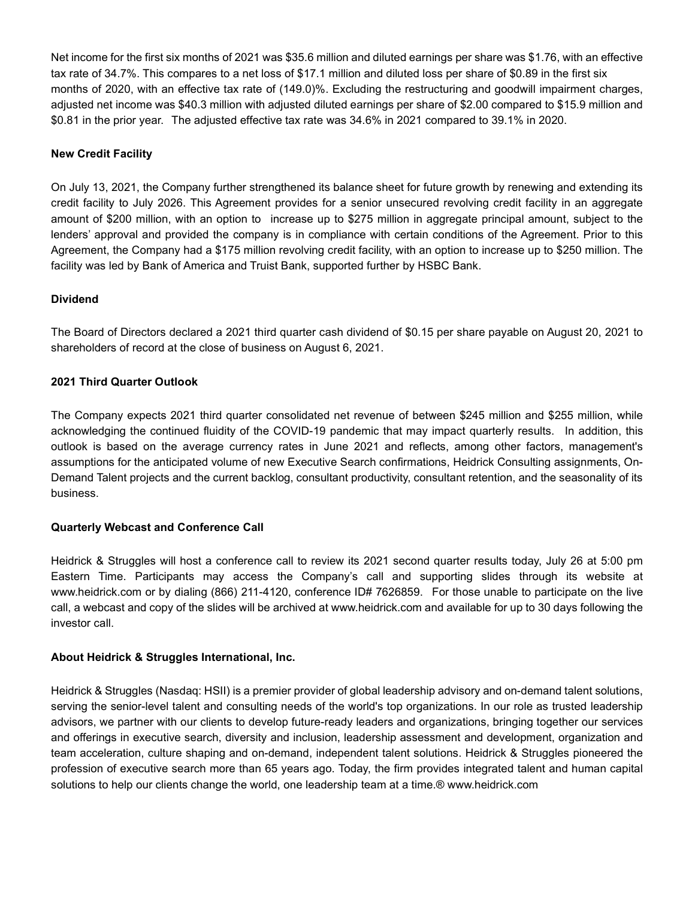Net income for the first six months of 2021 was \$35.6 million and diluted earnings per share was \$1.76, with an effective tax rate of 34.7%. This compares to a net loss of \$17.1 million and diluted loss per share of \$0.89 in the first six months of 2020, with an effective tax rate of (149.0)%. Excluding the restructuring and goodwill impairment charges, adjusted net income was \$40.3 million with adjusted diluted earnings per share of \$2.00 compared to \$15.9 million and \$0.81 in the prior year. The adjusted effective tax rate was 34.6% in 2021 compared to 39.1% in 2020.

### New Credit Facility

On July 13, 2021, the Company further strengthened its balance sheet for future growth by renewing and extending its credit facility to July 2026. This Agreement provides for a senior unsecured revolving credit facility in an aggregate amount of \$200 million, with an option to increase up to \$275 million in aggregate principal amount, subject to the lenders' approval and provided the company is in compliance with certain conditions of the Agreement. Prior to this Agreement, the Company had a \$175 million revolving credit facility, with an option to increase up to \$250 million. The facility was led by Bank of America and Truist Bank, supported further by HSBC Bank.

### Dividend

The Board of Directors declared a 2021 third quarter cash dividend of \$0.15 per share payable on August 20, 2021 to shareholders of record at the close of business on August 6, 2021.

### 2021 Third Quarter Outlook

The Company expects 2021 third quarter consolidated net revenue of between \$245 million and \$255 million, while acknowledging the continued fluidity of the COVID-19 pandemic that may impact quarterly results. In addition, this outlook is based on the average currency rates in June 2021 and reflects, among other factors, management's assumptions for the anticipated volume of new Executive Search confirmations, Heidrick Consulting assignments, On-Demand Talent projects and the current backlog, consultant productivity, consultant retention, and the seasonality of its business.

### Quarterly Webcast and Conference Call

Heidrick & Struggles will host a conference call to review its 2021 second quarter results today, July 26 at 5:00 pm Eastern Time. Participants may access the Company's call and supporting slides through its website at www.heidrick.com or by dialing (866) 211-4120, conference ID# 7626859. For those unable to participate on the live call, a webcast and copy of the slides will be archived at www.heidrick.com and available for up to 30 days following the investor call.

### About Heidrick & Struggles International, Inc.

Heidrick & Struggles (Nasdaq: HSII) is a premier provider of global leadership advisory and on-demand talent solutions, serving the senior-level talent and consulting needs of the world's top organizations. In our role as trusted leadership advisors, we partner with our clients to develop future-ready leaders and organizations, bringing together our services and offerings in executive search, diversity and inclusion, leadership assessment and development, organization and team acceleration, culture shaping and on-demand, independent talent solutions. Heidrick & Struggles pioneered the profession of executive search more than 65 years ago. Today, the firm provides integrated talent and human capital solutions to help our clients change the world, one leadership team at a time.® www.heidrick.com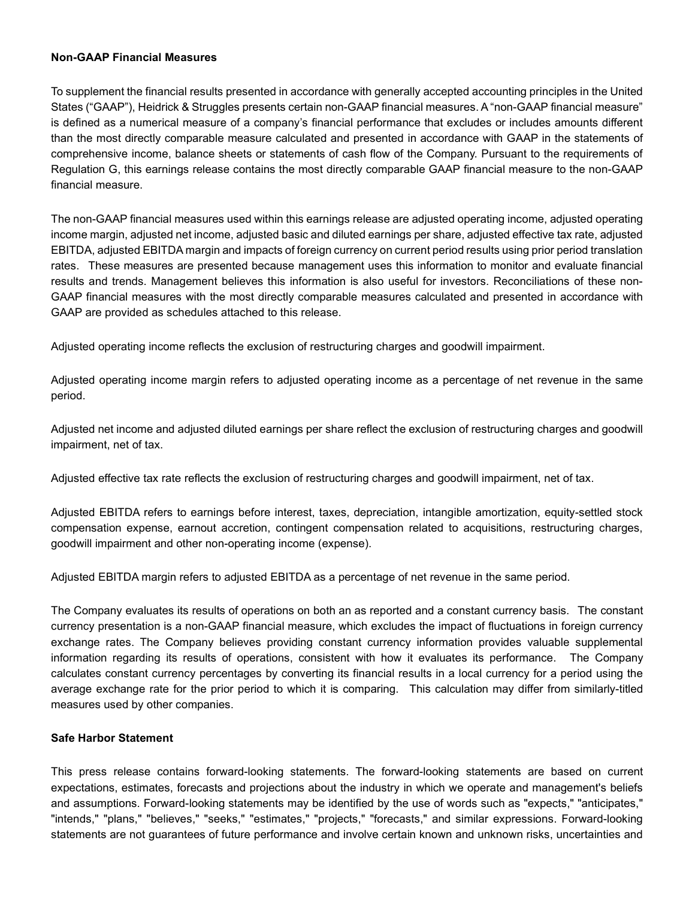#### Non-GAAP Financial Measures

To supplement the financial results presented in accordance with generally accepted accounting principles in the United States ("GAAP"), Heidrick & Struggles presents certain non-GAAP financial measures. A "non-GAAP financial measure" is defined as a numerical measure of a company's financial performance that excludes or includes amounts different than the most directly comparable measure calculated and presented in accordance with GAAP in the statements of comprehensive income, balance sheets or statements of cash flow of the Company. Pursuant to the requirements of Regulation G, this earnings release contains the most directly comparable GAAP financial measure to the non-GAAP financial measure.

The non-GAAP financial measures used within this earnings release are adjusted operating income, adjusted operating income margin, adjusted net income, adjusted basic and diluted earnings per share, adjusted effective tax rate, adjusted EBITDA, adjusted EBITDA margin and impacts of foreign currency on current period results using prior period translation rates. These measures are presented because management uses this information to monitor and evaluate financial results and trends. Management believes this information is also useful for investors. Reconciliations of these non-GAAP financial measures with the most directly comparable measures calculated and presented in accordance with GAAP are provided as schedules attached to this release.

Adjusted operating income reflects the exclusion of restructuring charges and goodwill impairment.

Adjusted operating income margin refers to adjusted operating income as a percentage of net revenue in the same period.

Adjusted net income and adjusted diluted earnings per share reflect the exclusion of restructuring charges and goodwill impairment, net of tax.

Adjusted effective tax rate reflects the exclusion of restructuring charges and goodwill impairment, net of tax.

Adjusted EBITDA refers to earnings before interest, taxes, depreciation, intangible amortization, equity-settled stock compensation expense, earnout accretion, contingent compensation related to acquisitions, restructuring charges, goodwill impairment and other non-operating income (expense).

Adjusted EBITDA margin refers to adjusted EBITDA as a percentage of net revenue in the same period.

The Company evaluates its results of operations on both an as reported and a constant currency basis. The constant currency presentation is a non-GAAP financial measure, which excludes the impact of fluctuations in foreign currency exchange rates. The Company believes providing constant currency information provides valuable supplemental information regarding its results of operations, consistent with how it evaluates its performance. The Company calculates constant currency percentages by converting its financial results in a local currency for a period using the average exchange rate for the prior period to which it is comparing. This calculation may differ from similarly-titled measures used by other companies.

### Safe Harbor Statement

This press release contains forward-looking statements. The forward-looking statements are based on current expectations, estimates, forecasts and projections about the industry in which we operate and management's beliefs and assumptions. Forward-looking statements may be identified by the use of words such as "expects," "anticipates," "intends," "plans," "believes," "seeks," "estimates," "projects," "forecasts," and similar expressions. Forward-looking statements are not guarantees of future performance and involve certain known and unknown risks, uncertainties and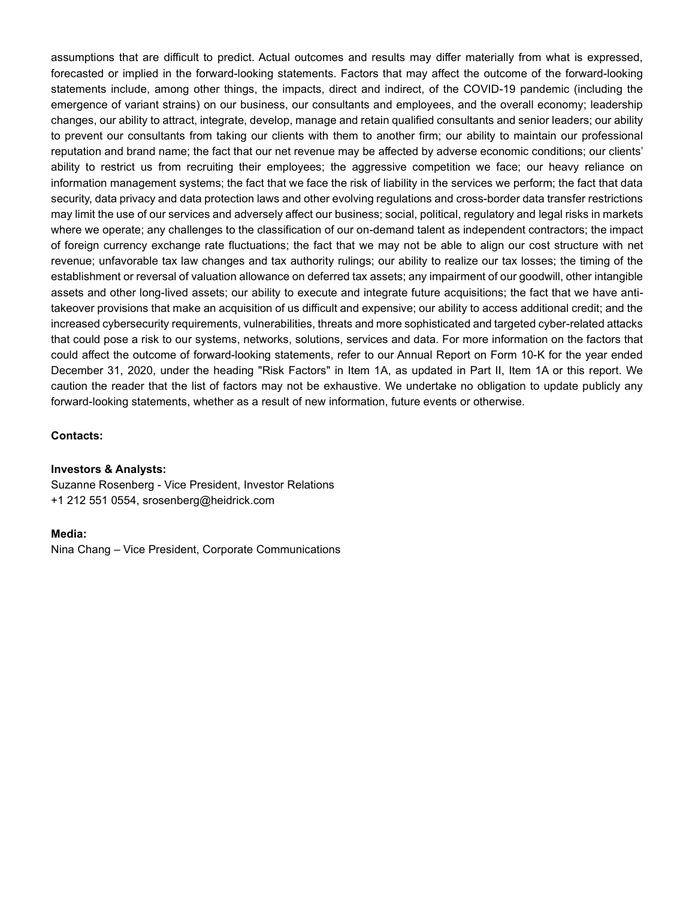assumptions that are difficult to predict. Actual outcomes and results may differ materially from what is expressed, forecasted or implied in the forward-looking statements. Factors that may affect the outcome of the forward-looking statements include, among other things, the impacts, direct and indirect, of the COVID-19 pandemic (including the emergence of variant strains) on our business, our consultants and employees, and the overall economy; leadership changes, our ability to attract, integrate, develop, manage and retain qualified consultants and senior leaders; our ability to prevent our consultants from taking our clients with them to another firm; our ability to maintain our professional reputation and brand name; the fact that our net revenue may be affected by adverse economic conditions; our clients' ability to restrict us from recruiting their employees; the aggressive competition we face; our heavy reliance on information management systems; the fact that we face the risk of liability in the services we perform; the fact that data security, data privacy and data protection laws and other evolving regulations and cross-border data transfer restrictions may limit the use of our services and adversely affect our business; social, political, regulatory and legal risks in markets where we operate; any challenges to the classification of our on-demand talent as independent contractors; the impact of foreign currency exchange rate fluctuations; the fact that we may not be able to align our cost structure with net revenue; unfavorable tax law changes and tax authority rulings; our ability to realize our tax losses; the timing of the establishment or reversal of valuation allowance on deferred tax assets; any impairment of our goodwill, other intangible assets and other long-lived assets; our ability to execute and integrate future acquisitions; the fact that we have antitakeover provisions that make an acquisition of us difficult and expensive; our ability to access additional credit; and the increased cybersecurity requirements, vulnerabilities, threats and more sophisticated and targeted cyber-related attacks that could pose a risk to our systems, networks, solutions, services and data. For more information on the factors that could affect the outcome of forward-looking statements, refer to our Annual Report on Form 10-K for the year ended December 31, 2020, under the heading "Risk Factors" in Item 1A, as updated in Part II, Item 1A or this report. We caution the reader that the list of factors may not be exhaustive. We undertake no obligation to update publicly any forward-looking statements, whether as a result of new information, future events or otherwise.

#### Contacts:

#### Investors & Analysts:

Suzanne Rosenberg - Vice President, Investor Relations +1 212 551 0554, srosenberg@heidrick.com

#### Media:

Nina Chang – Vice President, Corporate Communications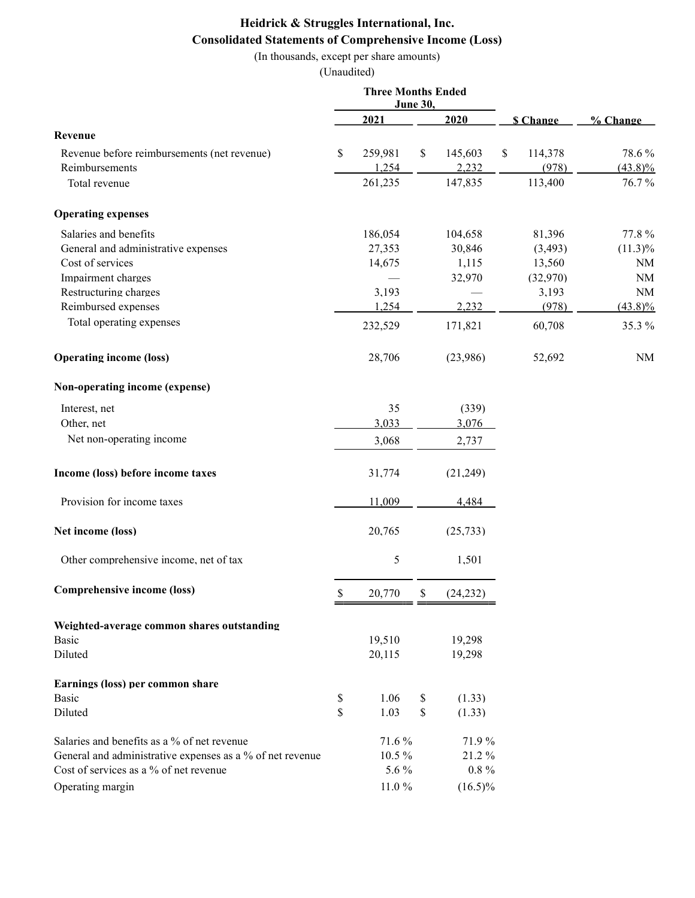# Heidrick & Struggles International, Inc. Consolidated Statements of Comprehensive Income (Loss)

(In thousands, except per share amounts)

|                                                           | <b>Three Months Ended</b> |            |    |            |    |                 |            |
|-----------------------------------------------------------|---------------------------|------------|----|------------|----|-----------------|------------|
|                                                           | <b>June 30,</b><br>2021   |            |    |            |    |                 |            |
|                                                           |                           |            |    | 2020       |    | <b>S</b> Change | % Change   |
| Revenue                                                   |                           |            |    |            |    |                 |            |
| Revenue before reimbursements (net revenue)               | \$                        | 259,981    | \$ | 145,603    | \$ | 114,378         | 78.6%      |
| Reimbursements                                            |                           | 1,254      |    | 2,232      |    | (978)           | $(43.8)\%$ |
| Total revenue                                             |                           | 261,235    |    | 147,835    |    | 113,400         | 76.7%      |
| <b>Operating expenses</b>                                 |                           |            |    |            |    |                 |            |
| Salaries and benefits                                     |                           | 186,054    |    | 104,658    |    | 81,396          | 77.8%      |
| General and administrative expenses                       |                           | 27,353     |    | 30,846     |    | (3, 493)        | $(11.3)\%$ |
| Cost of services                                          |                           | 14,675     |    | 1,115      |    | 13,560          | NM         |
| Impairment charges                                        |                           |            |    | 32,970     |    | (32,970)        | $\rm NM$   |
| Restructuring charges                                     |                           | 3,193      |    |            |    | 3,193           | NM         |
| Reimbursed expenses                                       |                           | 1,254      |    | 2,232      |    | (978)           | $(43.8)\%$ |
| Total operating expenses                                  |                           | 232,529    |    | 171,821    |    | 60,708          | 35.3 %     |
| <b>Operating income (loss)</b>                            |                           | 28,706     |    | (23,986)   |    | 52,692          | NM         |
| Non-operating income (expense)                            |                           |            |    |            |    |                 |            |
| Interest, net                                             |                           | 35         |    | (339)      |    |                 |            |
| Other, net                                                |                           | 3,033      |    | 3,076      |    |                 |            |
| Net non-operating income                                  |                           | 3,068      |    | 2,737      |    |                 |            |
|                                                           |                           |            |    |            |    |                 |            |
| Income (loss) before income taxes                         |                           | 31,774     |    | (21,249)   |    |                 |            |
| Provision for income taxes                                |                           | 11,009     |    | 4,484      |    |                 |            |
| Net income (loss)                                         |                           | 20,765     |    | (25, 733)  |    |                 |            |
| Other comprehensive income, net of tax                    |                           | 5          |    | 1,501      |    |                 |            |
| Comprehensive income (loss)                               | \$                        | 20,770     | S. | (24, 232)  |    |                 |            |
| Weighted-average common shares outstanding                |                           |            |    |            |    |                 |            |
| <b>Basic</b>                                              |                           | 19,510     |    | 19,298     |    |                 |            |
| Diluted                                                   |                           | 20,115     |    | 19,298     |    |                 |            |
| Earnings (loss) per common share                          |                           |            |    |            |    |                 |            |
| Basic                                                     | \$                        | 1.06       | \$ | (1.33)     |    |                 |            |
| Diluted                                                   | \$                        | 1.03       | \$ | (1.33)     |    |                 |            |
| Salaries and benefits as a % of net revenue               |                           | 71.6%      |    | 71.9%      |    |                 |            |
| General and administrative expenses as a % of net revenue |                           | 10.5%      |    | 21.2%      |    |                 |            |
| Cost of services as a % of net revenue                    |                           | 5.6 %      |    | $0.8~\%$   |    |                 |            |
| Operating margin                                          |                           | $11.0\ \%$ |    | $(16.5)\%$ |    |                 |            |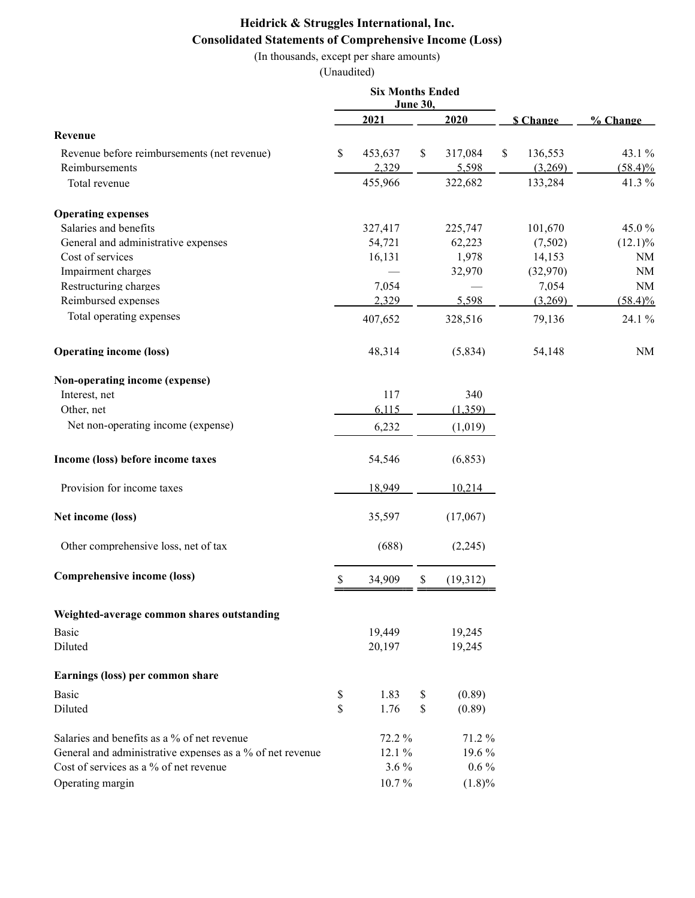# Heidrick & Struggles International, Inc. Consolidated Statements of Comprehensive Income (Loss)

(In thousands, except per share amounts)

|                                                           | <b>Six Months Ended</b><br>June 30, |         |              |           |                 |            |
|-----------------------------------------------------------|-------------------------------------|---------|--------------|-----------|-----------------|------------|
|                                                           |                                     | 2021    |              | 2020      | <b>S</b> Change | % Change   |
| Revenue                                                   |                                     |         |              |           |                 |            |
| Revenue before reimbursements (net revenue)               | S.                                  | 453,637 | $\mathbb{S}$ | 317,084   | \$<br>136,553   | 43.1 %     |
| Reimbursements                                            |                                     | 2,329   |              | 5,598     | (3,269)         | $(58.4)\%$ |
| Total revenue                                             |                                     | 455,966 |              | 322,682   | 133,284         | 41.3%      |
| <b>Operating expenses</b>                                 |                                     |         |              |           |                 |            |
| Salaries and benefits                                     |                                     | 327,417 |              | 225,747   | 101,670         | 45.0%      |
| General and administrative expenses                       |                                     | 54,721  |              | 62,223    | (7,502)         | $(12.1)\%$ |
| Cost of services                                          |                                     | 16,131  |              | 1,978     | 14,153          | NM         |
| Impairment charges                                        |                                     |         |              | 32,970    | (32,970)        | $\rm NM$   |
| Restructuring charges                                     |                                     | 7,054   |              |           | 7,054           | <b>NM</b>  |
| Reimbursed expenses                                       |                                     | 2,329   |              | 5,598     | (3,269)         | $(58.4)\%$ |
| Total operating expenses                                  |                                     | 407,652 |              | 328,516   | 79,136          | 24.1 %     |
| <b>Operating income (loss)</b>                            |                                     | 48,314  |              | (5,834)   | 54,148          | <b>NM</b>  |
| Non-operating income (expense)                            |                                     |         |              |           |                 |            |
| Interest, net                                             |                                     | 117     |              | 340       |                 |            |
| Other, net                                                |                                     | 6,115   |              | (1,359)   |                 |            |
| Net non-operating income (expense)                        |                                     | 6,232   |              | (1,019)   |                 |            |
| Income (loss) before income taxes                         |                                     | 54,546  |              | (6, 853)  |                 |            |
| Provision for income taxes                                |                                     | 18,949  |              | 10,214    |                 |            |
| Net income (loss)                                         |                                     | 35,597  |              | (17,067)  |                 |            |
| Other comprehensive loss, net of tax                      |                                     | (688)   |              | (2,245)   |                 |            |
| Comprehensive income (loss)                               | \$                                  | 34,909  | \$           | (19,312)  |                 |            |
| Weighted-average common shares outstanding                |                                     |         |              |           |                 |            |
| Basic                                                     |                                     | 19,449  |              | 19,245    |                 |            |
| Diluted                                                   |                                     | 20,197  |              | 19,245    |                 |            |
| Earnings (loss) per common share                          |                                     |         |              |           |                 |            |
| Basic                                                     | \$                                  | 1.83    | \$           | (0.89)    |                 |            |
| Diluted                                                   | \$                                  | 1.76    | \$           | (0.89)    |                 |            |
| Salaries and benefits as a % of net revenue               |                                     | 72.2%   |              | 71.2 %    |                 |            |
| General and administrative expenses as a % of net revenue |                                     | 12.1 %  |              | 19.6%     |                 |            |
| Cost of services as a % of net revenue                    |                                     | $3.6\%$ |              | $0.6\%$   |                 |            |
| Operating margin                                          |                                     | 10.7%   |              | $(1.8)\%$ |                 |            |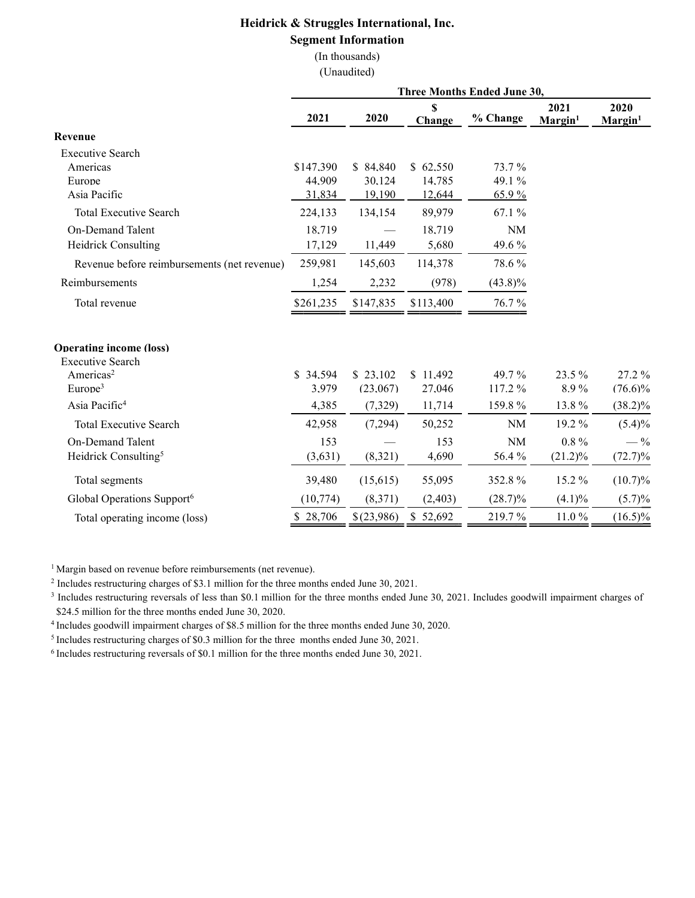### Heidrick & Struggles International, Inc. Segment Information

(In thousands) (Unaudited)

|                                                           |           |            |             | Three Months Ended June 30, |                             |                   |
|-----------------------------------------------------------|-----------|------------|-------------|-----------------------------|-----------------------------|-------------------|
|                                                           | 2021      | 2020       | S<br>Change | % Change                    | 2021<br>Margin <sup>1</sup> | 2020<br>$Margin1$ |
| Revenue                                                   |           |            |             |                             |                             |                   |
| <b>Executive Search</b>                                   |           |            |             |                             |                             |                   |
| Americas                                                  | \$147,390 | \$84,840   | \$62,550    | 73.7 %                      |                             |                   |
| Europe                                                    | 44,909    | 30,124     | 14,785      | 49.1 %                      |                             |                   |
| Asia Pacific                                              | 31,834    | 19,190     | 12,644      | 65.9%                       |                             |                   |
| <b>Total Executive Search</b>                             | 224,133   | 134,154    | 89,979      | 67.1 %                      |                             |                   |
| On-Demand Talent                                          | 18,719    |            | 18,719      | <b>NM</b>                   |                             |                   |
| Heidrick Consulting                                       | 17,129    | 11,449     | 5,680       | 49.6 %                      |                             |                   |
| Revenue before reimbursements (net revenue)               | 259,981   | 145,603    | 114,378     | 78.6%                       |                             |                   |
| Reimbursements                                            | 1,254     | 2,232      | (978)       | $(43.8)\%$                  |                             |                   |
| Total revenue                                             | \$261,235 | \$147,835  | \$113,400   | 76.7%                       |                             |                   |
| <b>Operating income (loss)</b><br><b>Executive Search</b> |           |            |             |                             |                             |                   |
| Americas <sup>2</sup>                                     | \$34,594  | \$23,102   | \$11,492    | 49.7 %                      | 23.5 %                      | 27.2 %            |
| Europe <sup>3</sup>                                       | 3,979     | (23,067)   | 27,046      | 117.2 %                     | 8.9%                        | $(76.6)\%$        |
| Asia Pacific <sup>4</sup>                                 | 4,385     | (7,329)    | 11,714      | 159.8%                      | 13.8%                       | $(38.2)\%$        |
| <b>Total Executive Search</b>                             | 42,958    | (7,294)    | 50,252      | <b>NM</b>                   | 19.2%                       | $(5.4)\%$         |
| On-Demand Talent                                          | 153       |            | 153         | <b>NM</b>                   | $0.8\%$                     | $-$ %             |
| Heidrick Consulting <sup>5</sup>                          | (3,631)   | (8,321)    | 4,690       | 56.4 %                      | $(21.2)\%$                  | $(72.7)\%$        |
| Total segments                                            | 39,480    | (15,615)   | 55,095      | 352.8%                      | 15.2 %                      | $(10.7)\%$        |
| Global Operations Support <sup>6</sup>                    | (10, 774) | (8,371)    | (2,403)     | $(28.7)\%$                  | $(4.1)\%$                   | $(5.7)\%$         |
| Total operating income (loss)                             | \$28,706  | \$(23,986) | \$52,692    | 219.7%                      | 11.0%                       | $(16.5)\%$        |

<sup>1</sup> Margin based on revenue before reimbursements (net revenue).

<sup>2</sup> Includes restructuring charges of \$3.1 million for the three months ended June 30, 2021.

<sup>3</sup> Includes restructuring reversals of less than \$0.1 million for the three months ended June 30, 2021. Includes goodwill impairment charges of \$24.5 million for the three months ended June 30, 2020.

<sup>4</sup>Includes goodwill impairment charges of \$8.5 million for the three months ended June 30, 2020.

<sup>5</sup> Includes restructuring charges of \$0.3 million for the three months ended June 30, 2021.

6 Includes restructuring reversals of \$0.1 million for the three months ended June 30, 2021.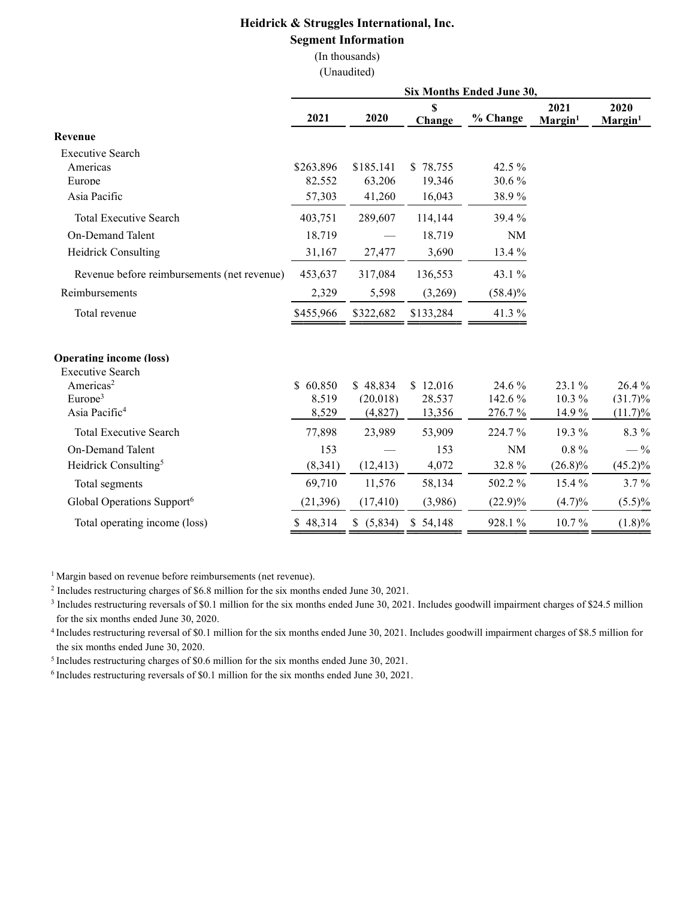### Heidrick & Struggles International, Inc. Segment Information

(In thousands) (Unaudited)

| Six Months Ended June 30, |                                                       |                                                     |                                                                   |                                                            |                                                |  |  |  |  |
|---------------------------|-------------------------------------------------------|-----------------------------------------------------|-------------------------------------------------------------------|------------------------------------------------------------|------------------------------------------------|--|--|--|--|
| 2021                      | 2020                                                  | \$<br>Change                                        | % Change                                                          | 2021<br>Margin <sup>1</sup>                                | 2020<br>Margin <sup>1</sup>                    |  |  |  |  |
|                           |                                                       |                                                     |                                                                   |                                                            |                                                |  |  |  |  |
|                           |                                                       |                                                     |                                                                   |                                                            |                                                |  |  |  |  |
| \$263,896                 | \$185,141                                             | \$78,755                                            | 42.5 %                                                            |                                                            |                                                |  |  |  |  |
|                           |                                                       |                                                     |                                                                   |                                                            |                                                |  |  |  |  |
| 57,303                    | 41,260                                                |                                                     | 38.9%                                                             |                                                            |                                                |  |  |  |  |
| 403,751                   | 289,607                                               | 114,144                                             | 39.4 %                                                            |                                                            |                                                |  |  |  |  |
| 18.719                    |                                                       | 18.719                                              | <b>NM</b>                                                         |                                                            |                                                |  |  |  |  |
| 31,167                    | 27,477                                                | 3,690                                               | 13.4 %                                                            |                                                            |                                                |  |  |  |  |
| 453,637                   | 317,084                                               | 136,553                                             | 43.1 %                                                            |                                                            |                                                |  |  |  |  |
| 2,329                     | 5,598                                                 | (3,269)                                             | $(58.4)\%$                                                        |                                                            |                                                |  |  |  |  |
| \$455,966                 | \$322,682                                             | \$133,284                                           | 41.3 %                                                            |                                                            |                                                |  |  |  |  |
|                           |                                                       |                                                     |                                                                   |                                                            |                                                |  |  |  |  |
|                           |                                                       |                                                     |                                                                   |                                                            |                                                |  |  |  |  |
|                           |                                                       |                                                     |                                                                   |                                                            | 26.4%                                          |  |  |  |  |
|                           |                                                       |                                                     |                                                                   |                                                            | $(31.7)\%$<br>$(11.7)\%$                       |  |  |  |  |
|                           |                                                       |                                                     |                                                                   |                                                            |                                                |  |  |  |  |
|                           |                                                       |                                                     |                                                                   |                                                            | 8.3%                                           |  |  |  |  |
|                           |                                                       |                                                     |                                                                   |                                                            | $-$ %                                          |  |  |  |  |
| (8,341)                   | (12, 413)                                             | 4,072                                               | 32.8%                                                             | $(26.8)\%$                                                 | $(45.2)\%$                                     |  |  |  |  |
| 69,710                    | 11,576                                                | 58,134                                              | 502.2 %                                                           | 15.4 %                                                     | 3.7%                                           |  |  |  |  |
| (21, 396)                 | (17, 410)                                             | (3,986)                                             | $(22.9)\%$                                                        | (4.7)%                                                     | $(5.5)\%$                                      |  |  |  |  |
| \$48,314                  | (5,834)<br>\$.                                        | \$54,148                                            | 928.1%                                                            | 10.7%                                                      | $(1.8)\%$                                      |  |  |  |  |
|                           | 82,552<br>\$60,850<br>8,519<br>8,529<br>77,898<br>153 | 63,206<br>\$48,834<br>(20,018)<br>(4,827)<br>23,989 | 19,346<br>16,043<br>\$12,016<br>28,537<br>13,356<br>53,909<br>153 | 30.6%<br>24.6 %<br>142.6%<br>276.7%<br>224.7%<br><b>NM</b> | 23.1 %<br>10.3%<br>14.9 %<br>19.3 %<br>$0.8\%$ |  |  |  |  |

<sup>1</sup> Margin based on revenue before reimbursements (net revenue).

<sup>2</sup> Includes restructuring charges of \$6.8 million for the six months ended June 30, 2021.

<sup>3</sup> Includes restructuring reversals of \$0.1 million for the six months ended June 30, 2021. Includes goodwill impairment charges of \$24.5 million for the six months ended June 30, 2020.

<sup>4</sup>Includes restructuring reversal of \$0.1 million for the six months ended June 30, 2021. Includes goodwill impairment charges of \$8.5 million for the six months ended June 30, 2020.

<sup>5</sup> Includes restructuring charges of \$0.6 million for the six months ended June 30, 2021.

6 Includes restructuring reversals of \$0.1 million for the six months ended June 30, 2021.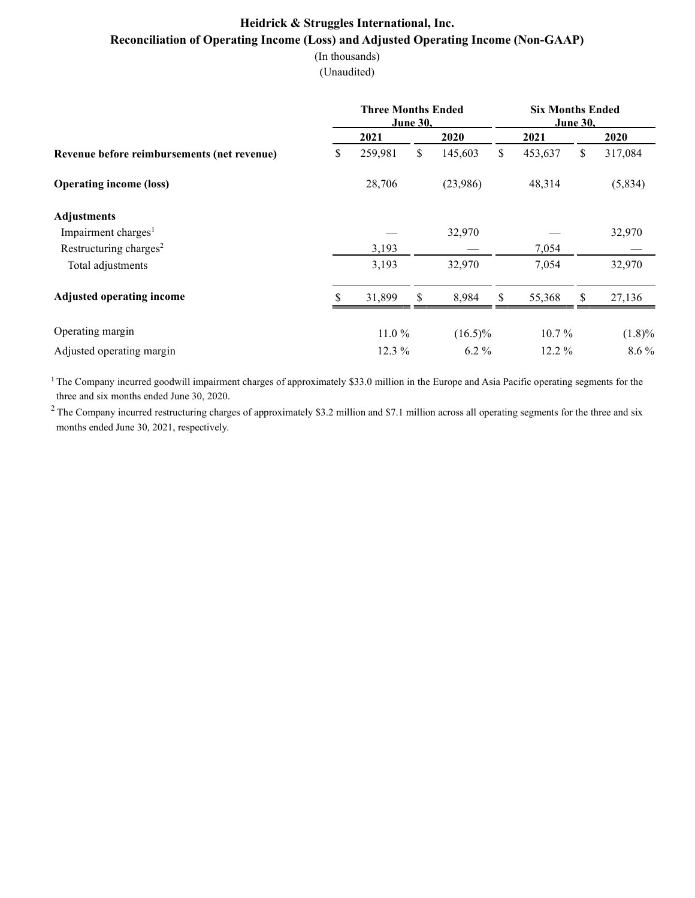# Heidrick & Struggles International, Inc. Reconciliation of Operating Income (Loss) and Adjusted Operating Income (Non-GAAP)

(In thousands)

(Unaudited)

|                                             |   | <b>Three Months Ended</b><br><b>June 30,</b> |    | <b>Six Months Ended</b><br><b>June 30,</b> |    |          |    |           |
|---------------------------------------------|---|----------------------------------------------|----|--------------------------------------------|----|----------|----|-----------|
|                                             |   | 2021                                         |    | 2020                                       |    | 2021     |    | 2020      |
| Revenue before reimbursements (net revenue) | S | 259,981                                      | \$ | 145,603                                    | \$ | 453,637  | \$ | 317,084   |
| <b>Operating income (loss)</b>              |   | 28,706                                       |    | (23,986)                                   |    | 48,314   |    | (5,834)   |
| <b>Adjustments</b>                          |   |                                              |    |                                            |    |          |    |           |
| Impairment charges <sup>1</sup>             |   |                                              |    | 32,970                                     |    |          |    | 32,970    |
| Restructuring charges <sup>2</sup>          |   | 3,193                                        |    |                                            |    | 7,054    |    |           |
| Total adjustments                           |   | 3,193                                        |    | 32,970                                     |    | 7,054    |    | 32,970    |
| <b>Adjusted operating income</b>            |   | 31,899                                       | \$ | 8,984                                      | \$ | 55,368   | \$ | 27,136    |
| Operating margin                            |   | 11.0%                                        |    | $(16.5)\%$                                 |    | $10.7\%$ |    | $(1.8)\%$ |
| Adjusted operating margin                   |   | $12.3\%$                                     |    | $6.2\%$                                    |    | 12.2 %   |    | $8.6\%$   |

<sup>1</sup> The Company incurred goodwill impairment charges of approximately \$33.0 million in the Europe and Asia Pacific operating segments for the three and six months ended June 30, 2020.

 $2$  The Company incurred restructuring charges of approximately \$3.2 million and \$7.1 million across all operating segments for the three and six months ended June 30, 2021, respectively.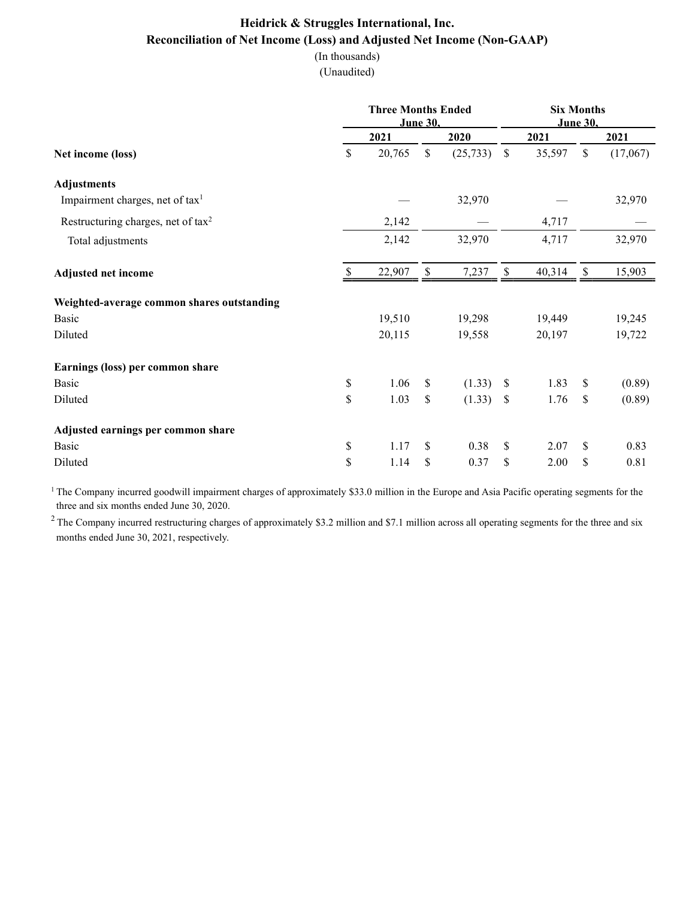## Heidrick & Struggles International, Inc. Reconciliation of Net Income (Loss) and Adjusted Net Income (Non-GAAP)

(In thousands)

(Unaudited)

|                                             |    | <b>Three Months Ended</b> | June 30, | <b>Six Months</b><br><b>June 30,</b> |                           |        |              |          |
|---------------------------------------------|----|---------------------------|----------|--------------------------------------|---------------------------|--------|--------------|----------|
|                                             |    | 2021                      |          | 2020                                 |                           | 2021   |              | 2021     |
| Net income (loss)                           | \$ | 20,765                    | \$       | (25, 733)                            | $\mathbb{S}$              | 35,597 | $\mathbb{S}$ | (17,067) |
| <b>Adjustments</b>                          |    |                           |          |                                      |                           |        |              |          |
| Impairment charges, net of tax <sup>1</sup> |    |                           |          | 32,970                               |                           |        |              | 32,970   |
| Restructuring charges, net of $tax^2$       |    | 2,142                     |          |                                      |                           | 4,717  |              |          |
| Total adjustments                           |    | 2,142                     |          | 32,970                               |                           | 4,717  |              | 32,970   |
| <b>Adjusted net income</b>                  | S  | 22,907                    | \$       | 7,237                                | $\boldsymbol{\mathsf{S}}$ | 40,314 | \$           | 15,903   |
| Weighted-average common shares outstanding  |    |                           |          |                                      |                           |        |              |          |
| Basic                                       |    | 19,510                    |          | 19,298                               |                           | 19,449 |              | 19,245   |
| Diluted                                     |    | 20,115                    |          | 19,558                               |                           | 20,197 |              | 19,722   |
| Earnings (loss) per common share            |    |                           |          |                                      |                           |        |              |          |
| Basic                                       | \$ | 1.06                      | \$       | (1.33)                               | \$                        | 1.83   | \$           | (0.89)   |
| Diluted                                     | \$ | 1.03                      | \$       | (1.33)                               | \$                        | 1.76   | \$           | (0.89)   |
| Adjusted earnings per common share          |    |                           |          |                                      |                           |        |              |          |
| Basic                                       | \$ | 1.17                      | \$       | 0.38                                 | \$                        | 2.07   | \$           | 0.83     |
| Diluted                                     | \$ | 1.14                      | \$       | 0.37                                 | \$                        | 2.00   | \$           | 0.81     |

<sup>1</sup> The Company incurred goodwill impairment charges of approximately \$33.0 million in the Europe and Asia Pacific operating segments for the three and six months ended June 30, 2020.

 $2$  The Company incurred restructuring charges of approximately \$3.2 million and \$7.1 million across all operating segments for the three and six months ended June 30, 2021, respectively.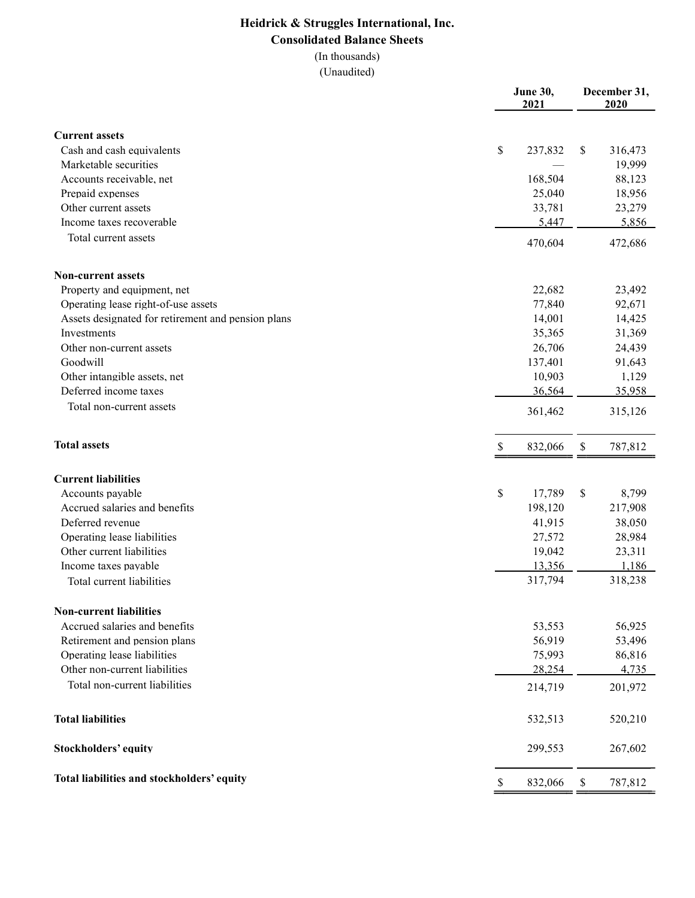# Heidrick & Struggles International, Inc. Consolidated Balance Sheets

(In thousands)

|                                                    | <b>June 30,</b><br>2021 |         | December 31,<br>2020 |         |
|----------------------------------------------------|-------------------------|---------|----------------------|---------|
| <b>Current assets</b>                              |                         |         |                      |         |
| Cash and cash equivalents                          | $\$$                    | 237,832 | S                    | 316,473 |
| Marketable securities                              |                         |         |                      | 19,999  |
| Accounts receivable, net                           |                         | 168,504 |                      | 88,123  |
| Prepaid expenses                                   |                         | 25,040  |                      | 18,956  |
| Other current assets                               |                         | 33,781  |                      | 23,279  |
| Income taxes recoverable                           |                         | 5,447   |                      | 5,856   |
| Total current assets                               |                         | 470,604 |                      | 472,686 |
| <b>Non-current assets</b>                          |                         |         |                      |         |
| Property and equipment, net                        |                         | 22,682  |                      | 23,492  |
| Operating lease right-of-use assets                |                         | 77,840  |                      | 92,671  |
| Assets designated for retirement and pension plans |                         | 14,001  |                      | 14,425  |
| Investments                                        |                         | 35,365  |                      | 31,369  |
| Other non-current assets                           |                         | 26,706  |                      | 24,439  |
| Goodwill                                           |                         | 137,401 |                      | 91,643  |
| Other intangible assets, net                       |                         | 10,903  |                      | 1,129   |
| Deferred income taxes                              |                         | 36,564  |                      | 35,958  |
| Total non-current assets                           |                         | 361,462 |                      | 315,126 |
| <b>Total assets</b>                                | S.                      | 832,066 | \$                   | 787,812 |
| <b>Current liabilities</b>                         |                         |         |                      |         |
| Accounts payable                                   | \$                      | 17,789  | \$                   | 8,799   |
| Accrued salaries and benefits                      |                         | 198,120 |                      | 217,908 |
| Deferred revenue                                   |                         | 41,915  |                      | 38,050  |
| Operating lease liabilities                        |                         | 27,572  |                      | 28,984  |
| Other current liabilities                          |                         | 19,042  |                      | 23,311  |
| Income taxes payable                               |                         | 13,356  |                      | 1,186   |
| Total current liabilities                          |                         | 317,794 |                      | 318,238 |
| <b>Non-current liabilities</b>                     |                         |         |                      |         |
| Accrued salaries and benefits                      |                         | 53,553  |                      | 56,925  |
| Retirement and pension plans                       |                         | 56,919  |                      | 53,496  |
| Operating lease liabilities                        |                         | 75,993  |                      | 86,816  |
| Other non-current liabilities                      |                         | 28,254  |                      | 4,735   |
| Total non-current liabilities                      |                         | 214,719 |                      | 201,972 |
| <b>Total liabilities</b>                           |                         | 532,513 |                      | 520,210 |
| <b>Stockholders' equity</b>                        |                         | 299,553 |                      | 267,602 |
| Total liabilities and stockholders' equity         | S                       | 832,066 | \$                   | 787,812 |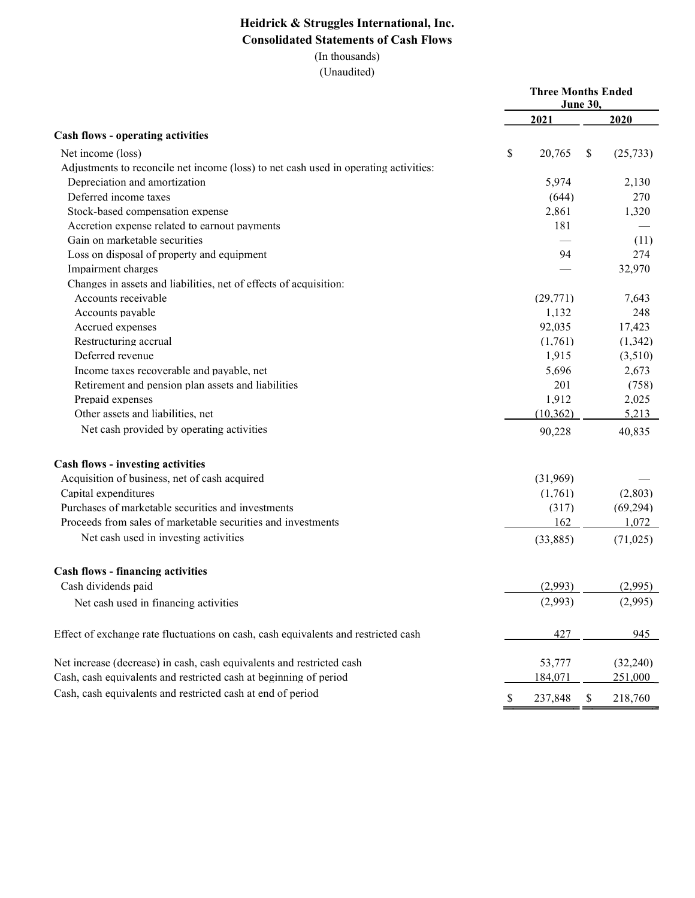# Heidrick & Struggles International, Inc. Consolidated Statements of Cash Flows

(In thousands)

|                                                                                      | <b>Three Months Ended</b> | June 30,     |           |
|--------------------------------------------------------------------------------------|---------------------------|--------------|-----------|
|                                                                                      | 2021                      |              | 2020      |
| <b>Cash flows - operating activities</b>                                             |                           |              |           |
| Net income (loss)                                                                    | \$<br>20,765              | $\mathbb{S}$ | (25, 733) |
| Adjustments to reconcile net income (loss) to net cash used in operating activities: |                           |              |           |
| Depreciation and amortization                                                        | 5,974                     |              | 2,130     |
| Deferred income taxes                                                                | (644)                     |              | 270       |
| Stock-based compensation expense                                                     | 2,861                     |              | 1,320     |
| Accretion expense related to earnout payments                                        | 181                       |              |           |
| Gain on marketable securities                                                        |                           |              | (11)      |
| Loss on disposal of property and equipment                                           | 94                        |              | 274       |
| Impairment charges                                                                   |                           |              | 32,970    |
| Changes in assets and liabilities, net of effects of acquisition:                    |                           |              |           |
| Accounts receivable                                                                  | (29,771)                  |              | 7,643     |
| Accounts payable                                                                     | 1,132                     |              | 248       |
| Accrued expenses                                                                     | 92,035                    |              | 17,423    |
| Restructuring accrual                                                                | (1,761)                   |              | (1, 342)  |
| Deferred revenue                                                                     | 1,915                     |              | (3,510)   |
| Income taxes recoverable and payable, net                                            | 5,696                     |              | 2,673     |
| Retirement and pension plan assets and liabilities                                   | 201                       |              | (758)     |
| Prepaid expenses                                                                     | 1,912                     |              | 2,025     |
| Other assets and liabilities, net                                                    | (10, 362)                 |              | 5,213     |
| Net cash provided by operating activities                                            | 90,228                    |              | 40,835    |
| Cash flows - investing activities                                                    |                           |              |           |
| Acquisition of business, net of cash acquired                                        | (31,969)                  |              |           |
| Capital expenditures                                                                 | (1,761)                   |              | (2,803)   |
| Purchases of marketable securities and investments                                   | (317)                     |              | (69, 294) |
| Proceeds from sales of marketable securities and investments                         | 162                       |              | 1,072     |
| Net cash used in investing activities                                                | (33,885)                  |              | (71, 025) |
| Cash flows - financing activities                                                    |                           |              |           |
| Cash dividends paid                                                                  | (2,993)                   |              | (2,995)   |
| Net cash used in financing activities                                                | (2,993)                   |              | (2,995)   |
| Effect of exchange rate fluctuations on cash, cash equivalents and restricted cash   | 427                       |              | 945       |
| Net increase (decrease) in cash, cash equivalents and restricted cash                | 53,777                    |              | (32,240)  |
| Cash, cash equivalents and restricted cash at beginning of period                    | 184,071                   |              | 251,000   |
| Cash, cash equivalents and restricted cash at end of period                          | \$<br>237,848             | $\$$         | 218,760   |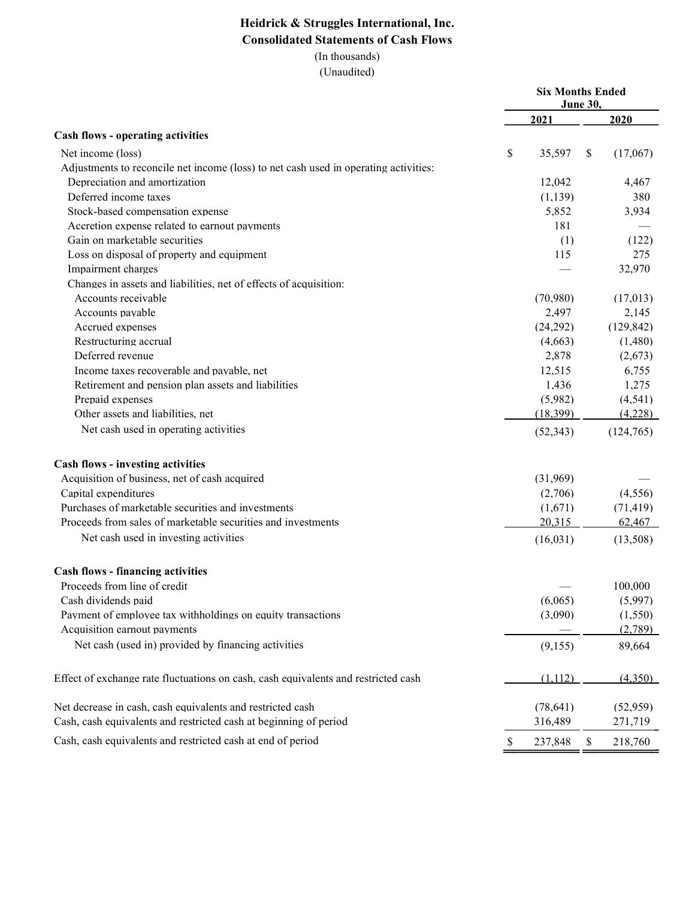# Heidrick & Struggles International, Inc. Consolidated Statements of Cash Flows

(In thousands)

|                                                                                      | <b>Six Months Ended</b> | <b>June 30,</b> |            |
|--------------------------------------------------------------------------------------|-------------------------|-----------------|------------|
|                                                                                      | 2021                    |                 | 2020       |
| <b>Cash flows - operating activities</b>                                             |                         |                 |            |
| Net income (loss)                                                                    | \$<br>35,597            | \$              | (17,067)   |
| Adjustments to reconcile net income (loss) to net cash used in operating activities: |                         |                 |            |
| Depreciation and amortization                                                        | 12,042                  |                 | 4,467      |
| Deferred income taxes                                                                | (1, 139)                |                 | 380        |
| Stock-based compensation expense                                                     | 5,852                   |                 | 3,934      |
| Accretion expense related to earnout payments                                        | 181                     |                 |            |
| Gain on marketable securities                                                        | (1)                     |                 | (122)      |
| Loss on disposal of property and equipment                                           | 115                     |                 | 275        |
| Impairment charges                                                                   |                         |                 | 32,970     |
| Changes in assets and liabilities, net of effects of acquisition:                    |                         |                 |            |
| Accounts receivable                                                                  | (70,980)                |                 | (17,013)   |
| Accounts payable                                                                     | 2,497                   |                 | 2,145      |
| Accrued expenses                                                                     | (24,292)                |                 | (129, 842) |
| Restructuring accrual                                                                | (4,663)                 |                 | (1,480)    |
| Deferred revenue                                                                     | 2,878                   |                 | (2,673)    |
| Income taxes recoverable and payable, net                                            | 12,515                  |                 | 6,755      |
| Retirement and pension plan assets and liabilities                                   | 1,436                   |                 | 1,275      |
| Prepaid expenses                                                                     | (5,982)                 |                 | (4, 541)   |
| Other assets and liabilities, net                                                    | (18,399)                |                 | (4,228)    |
| Net cash used in operating activities                                                | (52, 343)               |                 | (124,765)  |
| Cash flows - investing activities                                                    |                         |                 |            |
| Acquisition of business, net of cash acquired                                        | (31,969)                |                 |            |
| Capital expenditures                                                                 | (2,706)                 |                 | (4,556)    |
| Purchases of marketable securities and investments                                   | (1,671)                 |                 | (71, 419)  |
| Proceeds from sales of marketable securities and investments                         | 20,315                  |                 | 62,467     |
| Net cash used in investing activities                                                | (16, 031)               |                 | (13,508)   |
| Cash flows - financing activities                                                    |                         |                 |            |
| Proceeds from line of credit                                                         |                         |                 | 100,000    |
| Cash dividends paid                                                                  | (6,065)                 |                 | (5,997)    |
| Payment of employee tax withholdings on equity transactions                          | (3,090)                 |                 | (1,550)    |
| Acquisition earnout payments                                                         |                         |                 | (2,789)    |
| Net cash (used in) provided by financing activities                                  | (9,155)                 |                 | 89,664     |
| Effect of exchange rate fluctuations on cash, cash equivalents and restricted cash   | (1,112)                 |                 | (4,350)    |
|                                                                                      |                         |                 |            |
| Net decrease in cash, cash equivalents and restricted cash                           | (78, 641)               |                 | (52,959)   |
| Cash, cash equivalents and restricted cash at beginning of period                    | 316,489                 |                 | 271,719    |
| Cash, cash equivalents and restricted cash at end of period                          | \$<br>237,848           | \$              | 218,760    |